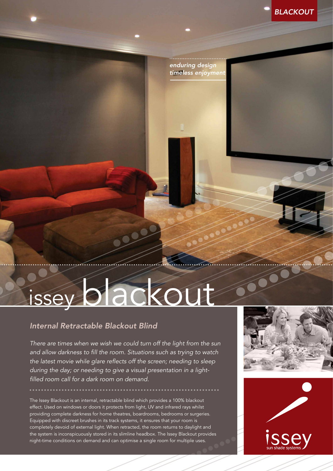*BLACKOUT*

*enduring design timeless enjoyment*

# issey blackout

## *Internal Retractable Blackout Blind*

*There are times when we wish we could turn off the light from the sun and allow darkness to fill the room. Situations such as trying to watch the latest movie while glare reflects off the screen; needing to sleep during the day; or needing to give a visual presentation in a lightfilled room call for a dark room on demand.*

The Issey Blackout is an internal, retractable blind which provides a 100% blackout effect. Used on windows or doors it protects from light, UV and infrared rays whilst providing complete darkness for home theatres, boardrooms, bedrooms or surgeries. Equipped with discreet brushes in its track systems, it ensures that your room is completely devoid of external light. When retracted, the room returns to daylight and the system is inconspicuously stored in its slimline headbox. The Issey Blackout provides night-time conditions on demand and can optimise a single room for multiple uses.